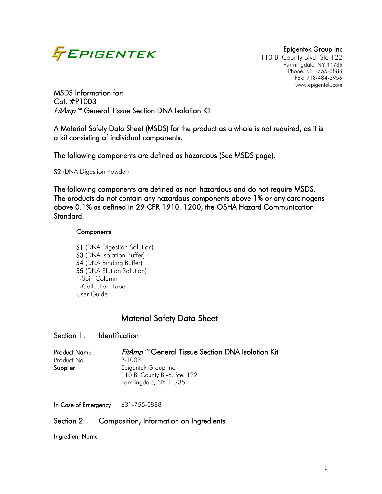

110 Bi County Blvd. Ste 122 Farmingdale, NY 11735 Phone: 631-755-0888 Fax: 718-484-3956 www.epigentek.com

MSDS Information for: Cat. #P1003 FitAmp™ General Tissue Section DNA Isolation Kit

A Material Safety Data Sheet (MSDS) for the product as a whole is not required, as it is a kit consisting of individual components.

The following components are defined as hazardous (See MSDS page).

S2 (DNA Digestion Powder)

The following components are defined as non-hazardous and do not require MSDS. The products do not contain any hazardous components above 1% or any carcinogens above 0.1% as defined in 29 CFR 1910. 1200, the OSHA Hazard Communication Standard.

### **Components**

S1 (DNA Digestion Solution) S3 (DNA Isolation Buffer) S4 (DNA Binding Buffer) S5 (DNA Elution Solution) F-Spin Column F-Collection Tube User Guide

# Material Safety Data Sheet

# Section 1. Identification

| <b>Product Name</b> | <i>FitAmp</i> <sup>™</sup> General Tissue Section DNA Isolation Kit |
|---------------------|---------------------------------------------------------------------|
| Product No.         | P-1003                                                              |
| Supplier            | Epigentek Group Inc                                                 |
|                     | 110 Bi County Blvd. Ste. 122                                        |
|                     | Farmingdale, NY 11735                                               |

In Case of Emergency 631-755-0888

### Section 2. Composition, Information on Ingredients

Ingredient Name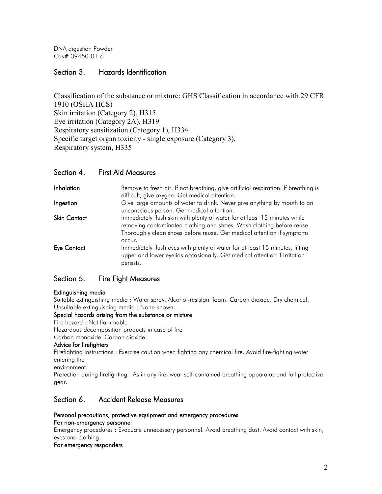DNA digestion Powder Cas# 39450-01-6

# Section 3. Hazards Identification

Classification of the substance or mixture: GHS Classification in accordance with 29 CFR 1910 (OSHA HCS) Skin irritation (Category 2), H315 Eye irritation (Category 2A), H319 Respiratory sensitization (Category 1), H334 Specific target organ toxicity - single exposure (Category 3), Respiratory system, H335

### Section 4. First Aid Measures

| Inhalation          | Remove to fresh air. If not breathing, give artificial respiration. If breathing is<br>difficult, give oxygen. Get medical attention.                                                                                                  |
|---------------------|----------------------------------------------------------------------------------------------------------------------------------------------------------------------------------------------------------------------------------------|
| Ingestion           | Give large amounts of water to drink. Never give anything by mouth to an<br>unconscious person. Get medical attention.                                                                                                                 |
| <b>Skin Contact</b> | Immediately flush skin with plenty of water for at least 15 minutes while<br>removing contaminated clothing and shoes. Wash clothing before reuse.<br>Thoroughly clean shoes before reuse. Get medical attention if symptoms<br>occur. |
| <b>Eye Contact</b>  | Immediately flush eyes with plenty of water for at least 15 minutes, lifting<br>upper and lower eyelids occasionally. Get medical attention if irritation<br>persists.                                                                 |

# Section 5. Fire Fight Measures

### Extinguishing media

Suitable extinguishing media : Water spray. Alcohol-resistant foam. Carbon dioxide. Dry chemical. Unsuitable extinguishing media : None known.

#### Special hazards arising from the substance or mixture

Fire hazard : Not flammable

Hazardous decomposition products in case of fire

Carbon monoxide. Carbon dioxide.

### Advice for firefighters

Firefighting instructions : Exercise caution when fighting any chemical fire. Avoid fire-fighting water entering the

environment.

Protection during firefighting : As in any fire, wear self-contained breathing apparatus and full protective gear.

# Section 6. Accident Release Measures

#### Personal precautions, protective equipment and emergency procedures For non-emergency personnel

Emergency procedures : Evacuate unnecessary personnel. Avoid breathing dust. Avoid contact with skin, eyes and clothing.

#### For emergency responders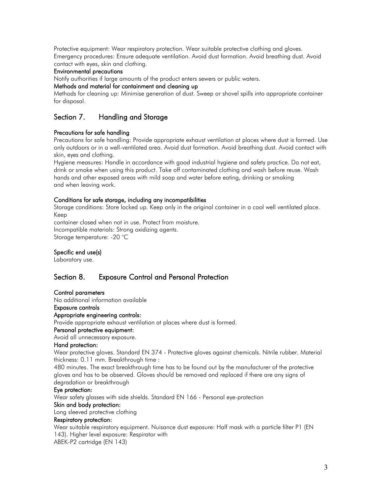Protective equipment: Wear respiratory protection. Wear suitable protective clothing and gloves. Emergency procedures: Ensure adequate ventilation. Avoid dust formation. Avoid breathing dust. Avoid contact with eyes, skin and clothing.

### Environmental precautions

Notify authorities if large amounts of the product enters sewers or public waters.

### Methods and material for containment and cleaning up

Methods for cleaning up: Minimise generation of dust. Sweep or shovel spills into appropriate container for disposal.

# Section 7. Handling and Storage

### Precautions for safe handling

Precautions for safe handling: Provide appropriate exhaust ventilation at places where dust is formed. Use only outdoors or in a well-ventilated area. Avoid dust formation. Avoid breathing dust. Avoid contact with skin, eyes and clothing.

Hygiene measures: Handle in accordance with good industrial hygiene and safety practice. Do not eat, drink or smoke when using this product. Take off contaminated clothing and wash before reuse. Wash hands and other exposed areas with mild soap and water before eating, drinking or smoking and when leaving work.

### Conditions for safe storage, including any incompatibilities

Storage conditions: Store locked up. Keep only in the original container in a cool well ventilated place. Keep

container closed when not in use. Protect from moisture. Incompatible materials: Strong oxidizing agents.

Storage temperature: -20 °C

### Specific end use(s)

Laboratory use.

# Section 8. Exposure Control and Personal Protection

#### Control parameters

No additional information available

#### Exposure controls

#### Appropriate engineering controls:

Provide appropriate exhaust ventilation at places where dust is formed.

### Personal protective equipment:

#### Avoid all unnecessary exposure.

#### Hand protection:

Wear protective gloves. Standard EN 374 - Protective gloves against chemicals. Nitrile rubber. Material thickness: 0.11 mm. Breakthrough time :

480 minutes. The exact breakthrough time has to be found out by the manufacturer of the protective gloves and has to be observed. Gloves should be removed and replaced if there are any signs of degradation or breakthrough

### Eye protection:

Wear safety glasses with side shields. Standard EN 166 - Personal eye-protection

### Skin and body protection:

Long sleeved protective clothing

### Respiratory protection:

Wear suitable respiratory equipment. Nuisance dust exposure: Half mask with a particle filter P1 (EN 143). Higher level exposure: Respirator with ABEK-P2 cartridge (EN 143)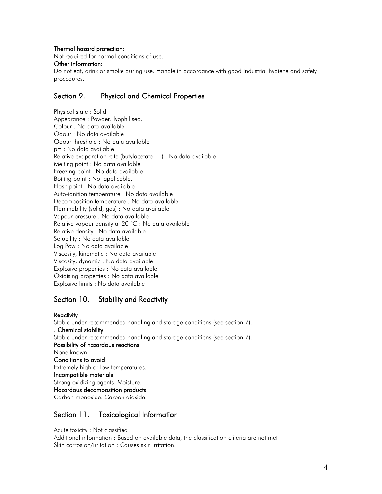### Thermal hazard protection:

Not required for normal conditions of use.

#### Other information:

Do not eat, drink or smoke during use. Handle in accordance with good industrial hygiene and safety procedures.

# Section 9. Physical and Chemical Properties

Physical state : Solid Appearance : Powder. lyophilised. Colour : No data available Odour : No data available Odour threshold : No data available pH : No data available Relative evaporation rate (butylacetate=1) : No data available Melting point : No data available Freezing point : No data available Boiling point : Not applicable. Flash point : No data available Auto-ignition temperature : No data available Decomposition temperature : No data available Flammability (solid, gas) : No data available Vapour pressure : No data available Relative vapour density at 20 °C : No data available Relative density : No data available Solubility : No data available Log Pow : No data available Viscosity, kinematic : No data available Viscosity, dynamic : No data available Explosive properties : No data available Oxidising properties : No data available Explosive limits : No data available

# Section 10. Stability and Reactivity

#### **Reactivity**

Stable under recommended handling and storage conditions (see section 7). . Chemical stability Stable under recommended handling and storage conditions (see section 7). Possibility of hazardous reactions None known. Conditions to avoid Extremely high or low temperatures. Incompatible materials Strong oxidizing agents. Moisture. Hazardous decomposition products Carbon monoxide. Carbon dioxide.

# Section 11. Toxicological Information

Acute toxicity : Not classified Additional information : Based on available data, the classification criteria are not met Skin corrosion/irritation : Causes skin irritation.